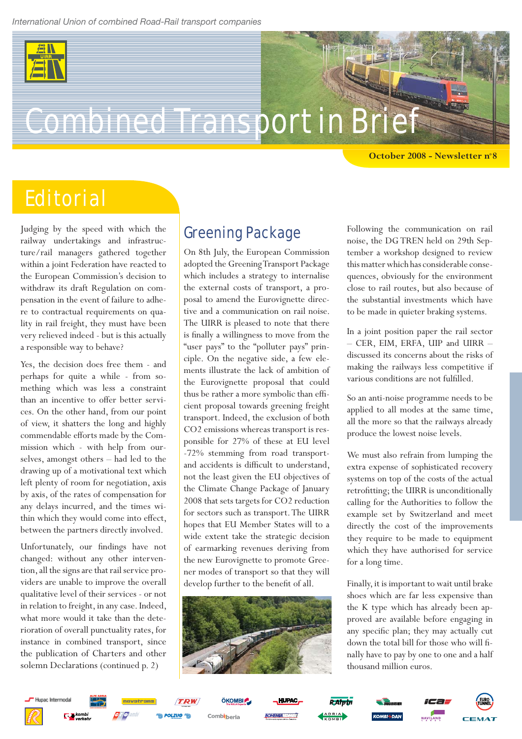

# **Combined Transport in Bri**

**October 2008 - Newsletter n°8**

## **Editorial**

Judging by the speed with which the railway undertakings and infrastructure/rail managers gathered together within a joint Federation have reacted to the European Commission's decision to withdraw its draft Regulation on compensation in the event of failure to adhere to contractual requirements on quality in rail freight, they must have been very relieved indeed - but is this actually a responsible way to behave?

Yes, the decision does free them - and perhaps for quite a while - from something which was less a constraint than an incentive to offer better services. On the other hand, from our point of view, it shatters the long and highly commendable efforts made by the Commission which - with help from ourselves, amongst others – had led to the drawing up of a motivational text which left plenty of room for negotiation, axis by axis, of the rates of compensation for any delays incurred, and the times within which they would come into effect, between the partners directly involved.

Unfortunately, our findings have not changed: without any other intervention, all the signs are that rail service providers are unable to improve the overall qualitative level of their services - or not in relation to freight, in any case. Indeed, what more would it take than the deterioration of overall punctuality rates, for instance in combined transport, since the publication of Charters and other solemn Declarations (continued p. 2)

#### Greening Package

On 8th July, the European Commission adopted the Greening Transport Package which includes a strategy to internalise the external costs of transport, a proposal to amend the Eurovignette directive and a communication on rail noise. The UIRR is pleased to note that there is finally a willingness to move from the "user pays" to the "polluter pays" principle. On the negative side, a few elements illustrate the lack of ambition of the Eurovignette proposal that could thus be rather a more symbolic than efficient proposal towards greening freight transport. Indeed, the exclusion of both CO2 emissions whereas transport is responsible for 27% of these at EU level -72% stemming from road transportand accidents is difficult to understand, not the least given the EU objectives of the Climate Change Package of January 2008 that sets targets for CO2 reduction for sectors such as transport. The UIRR hopes that EU Member States will to a wide extent take the strategic decision of earmarking revenues deriving from the new Eurovignette to promote Greener modes of transport so that they will develop further to the benefit of all.



Following the communication on rail noise, the DG TREN held on 29th September a workshop designed to review this matter which has considerable consequences, obviously for the environment close to rail routes, but also because of the substantial investments which have to be made in quieter braking systems.

In a joint position paper the rail sector – CER, EIM, ERFA, UIP and UIRR – discussed its concerns about the risks of making the railways less competitive if various conditions are not fulfilled.

So an anti-noise programme needs to be applied to all modes at the same time, all the more so that the railways already produce the lowest noise levels.

We must also refrain from lumping the extra expense of sophisticated recovery systems on top of the costs of the actual retrofitting; the UIRR is unconditionally calling for the Authorities to follow the example set by Switzerland and meet directly the cost of the improvements they require to be made to equipment which they have authorised for service for a long time.

Finally, it is important to wait until brake shoes which are far less expensive than the K type which has already been approved are available before engaging in any specific plan; they may actually cut down the total bill for those who will finally have to pay by one to one and a half thousand million euros.

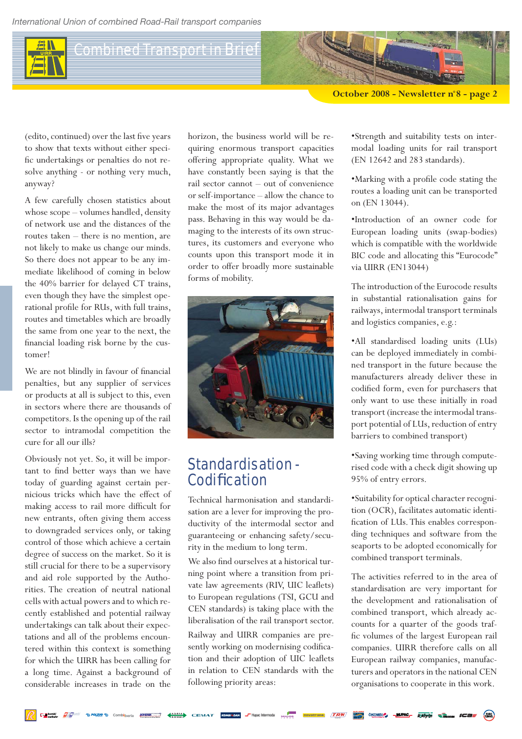*International Union of combined Road-Rail transport companies*

#### Combined Transport in Brief

**October 2008 - Newsletter n°8 - page 2**

(edito, continued) over the last five years to show that texts without either specific undertakings or penalties do not resolve anything - or nothing very much, anyway?

A few carefully chosen statistics about whose scope – volumes handled, density of network use and the distances of the routes taken – there is no mention, are not likely to make us change our minds. So there does not appear to be any immediate likelihood of coming in below the 40% barrier for delayed CT trains, even though they have the simplest operational profile for RUs, with full trains, routes and timetables which are broadly the same from one year to the next, the financial loading risk borne by the customer!

We are not blindly in favour of financial penalties, but any supplier of services or products at all is subject to this, even in sectors where there are thousands of competitors. Is the opening up of the rail sector to intramodal competition the cure for all our ills?

Obviously not yet. So, it will be important to find better ways than we have today of guarding against certain pernicious tricks which have the effect of making access to rail more difficult for new entrants, often giving them access to downgraded services only, or taking control of those which achieve a certain degree of success on the market. So it is still crucial for there to be a supervisory and aid role supported by the Authorities. The creation of neutral national cells with actual powers and to which recently established and potential railway undertakings can talk about their expectations and all of the problems encountered within this context is something for which the UIRR has been calling for a long time. Against a background of considerable increases in trade on the

horizon, the business world will be requiring enormous transport capacities offering appropriate quality. What we have constantly been saying is that the rail sector cannot – out of convenience or self-importance – allow the chance to make the most of its major advantages pass. Behaving in this way would be damaging to the interests of its own structures, its customers and everyone who counts upon this transport mode it in order to offer broadly more sustainable forms of mobility.



#### Standardisation - Codification

Technical harmonisation and standardisation are a lever for improving the productivity of the intermodal sector and guaranteeing or enhancing safety/security in the medium to long term.

We also find ourselves at a historical turning point where a transition from private law agreements (RIV, UIC leaflets) to European regulations (TSI, GCU and CEN standards) is taking place with the liberalisation of the rail transport sector.

Railway and UIRR companies are presently working on modernising codification and their adoption of UIC leaflets in relation to CEN standards with the following priority areas:

•Strength and suitability tests on intermodal loading units for rail transport (EN 12642 and 283 standards).

•Marking with a profile code stating the routes a loading unit can be transported on (EN 13044).

•Introduction of an owner code for European loading units (swap-bodies) which is compatible with the worldwide BIC code and allocating this "Eurocode" via UIRR (EN13044)

The introduction of the Eurocode results in substantial rationalisation gains for railways, intermodal transport terminals and logistics companies, e.g.:

•All standardised loading units (LUs) can be deployed immediately in combined transport in the future because the manufacturers already deliver these in codified form, even for purchasers that only want to use these initially in road transport (increase the intermodal transport potential of LUs, reduction of entry barriers to combined transport)

•Saving working time through computerised code with a check digit showing up 95% of entry errors.

•Suitability for optical character recognition (OCR), facilitates automatic identification of LUs. This enables corresponding techniques and software from the seaports to be adopted economically for combined transport terminals.

The activities referred to in the area of standardisation are very important for the development and rationalisation of combined transport, which already accounts for a quarter of the goods traffic volumes of the largest European rail companies. UIRR therefore calls on all European railway companies, manufacturers and operators in the national CEN organisations to cooperate in this work.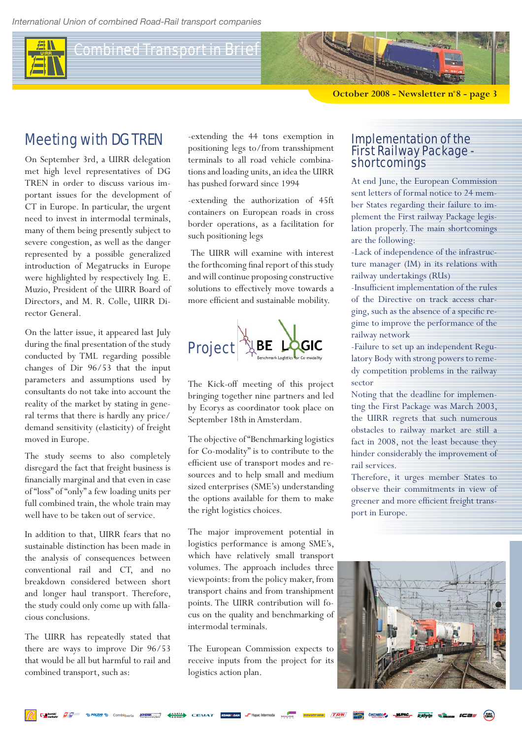Combined Transport in Brief

**October 2008 - Newsletter n°8 - page 3**

#### Meeting with DG TREN

On September 3rd, a UIRR delegation met high level representatives of DG TREN in order to discuss various important issues for the development of CT in Europe. In particular, the urgent need to invest in intermodal terminals, many of them being presently subject to severe congestion, as well as the danger represented by a possible generalized introduction of Megatrucks in Europe were highlighted by respectively Ing. E. Muzio, President of the UIRR Board of Directors, and M. R. Colle, UIRR Director General.

On the latter issue, it appeared last July during the final presentation of the study conducted by TML regarding possible changes of Dir 96/53 that the input parameters and assumptions used by consultants do not take into account the reality of the market by stating in general terms that there is hardly any price/ demand sensitivity (elasticity) of freight moved in Europe.

The study seems to also completely disregard the fact that freight business is financially marginal and that even in case of "loss" of "only" a few loading units per full combined train, the whole train may well have to be taken out of service.

In addition to that, UIRR fears that no sustainable distinction has been made in the analysis of consequences between conventional rail and CT, and no breakdown considered between short and longer haul transport. Therefore, the study could only come up with fallacious conclusions.

The UIRR has repeatedly stated that there are ways to improve Dir 96/53 that would be all but harmful to rail and combined transport, such as:

-extending the 44 tons exemption in positioning legs to/from transshipment terminals to all road vehicle combinations and loading units, an idea the UIRR has pushed forward since 1994

-extending the authorization of 45ft containers on European roads in cross border operations, as a facilitation for such positioning legs

 The UIRR will examine with interest the forthcoming final report of this study and will continue proposing constructive solutions to effectively move towards a more efficient and sustainable mobility.



The Kick-off meeting of this project bringing together nine partners and led by Ecorys as coordinator took place on September 18th in Amsterdam.

The objective of "Benchmarking logistics for Co-modality" is to contribute to the efficient use of transport modes and resources and to help small and medium sized enterprises (SME's) understanding the options available for them to make the right logistics choices.

The major improvement potential in logistics performance is among SME's, which have relatively small transport volumes. The approach includes three viewpoints: from the policy maker, from transport chains and from transhipment points. The UIRR contribution will focus on the quality and benchmarking of intermodal terminals.

The European Commission expects to receive inputs from the project for its logistics action plan.

#### Implementation of the First Railway Package shortcomings

At end June, the European Commission sent letters of formal notice to 24 member States regarding their failure to implement the First railway Package legislation properly. The main shortcomings are the following:

-Lack of independence of the infrastructure manager (IM) in its relations with railway undertakings (RUs)

-Insufficient implementation of the rules of the Directive on track access charging, such as the absence of a specific regime to improve the performance of the railway network

-Failure to set up an independent Regulatory Body with strong powers to remedy competition problems in the railway sector

Noting that the deadline for implementing the First Package was March 2003, the UIRR regrets that such numerous obstacles to railway market are still a fact in 2008, not the least because they hinder considerably the improvement of rail services.

Therefore, it urges member States to observe their commitments in view of greener and more efficient freight transport in Europe.